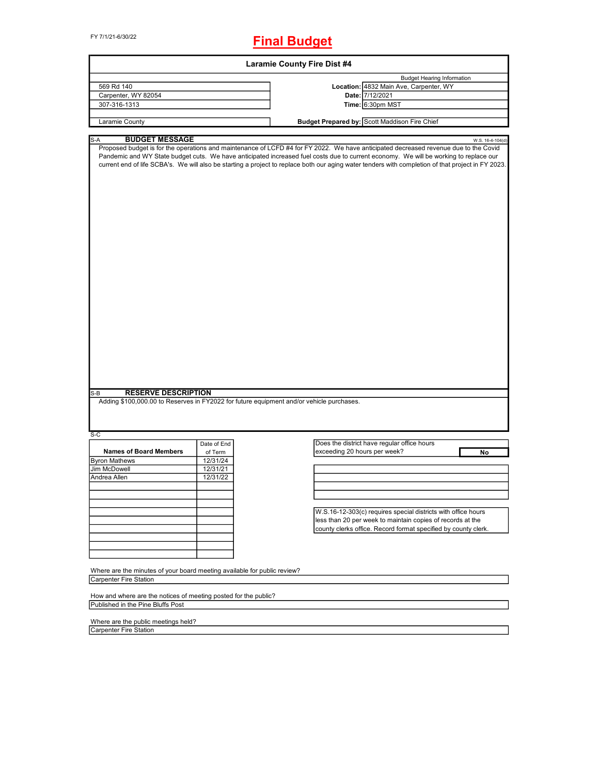FY 7/1/21-6/30/22

## **Final Budget**

| <b>Laramie County Fire Dist #4</b>                                                                                            |                      |                                                                                                                                                                                                                                                                                                                                                                                                                                     |  |  |  |  |  |
|-------------------------------------------------------------------------------------------------------------------------------|----------------------|-------------------------------------------------------------------------------------------------------------------------------------------------------------------------------------------------------------------------------------------------------------------------------------------------------------------------------------------------------------------------------------------------------------------------------------|--|--|--|--|--|
| 569 Rd 140                                                                                                                    |                      | <b>Budget Hearing Information</b><br>Location: 4832 Main Ave, Carpenter, WY                                                                                                                                                                                                                                                                                                                                                         |  |  |  |  |  |
| Carpenter, WY 82054                                                                                                           |                      | Date: 7/12/2021                                                                                                                                                                                                                                                                                                                                                                                                                     |  |  |  |  |  |
| 307-316-1313                                                                                                                  |                      | Time: 6:30pm MST                                                                                                                                                                                                                                                                                                                                                                                                                    |  |  |  |  |  |
|                                                                                                                               |                      |                                                                                                                                                                                                                                                                                                                                                                                                                                     |  |  |  |  |  |
| Laramie County                                                                                                                |                      | Budget Prepared by: Scott Maddison Fire Chief                                                                                                                                                                                                                                                                                                                                                                                       |  |  |  |  |  |
| <b>BUDGET MESSAGE</b><br>$S-A$                                                                                                |                      | W.S. 16-4-104(d)                                                                                                                                                                                                                                                                                                                                                                                                                    |  |  |  |  |  |
| <b>RESERVE DESCRIPTION</b><br>S-B<br>Adding \$100,000.00 to Reserves in FY2022 for future equipment and/or vehicle purchases. |                      | Proposed budget is for the operations and maintenance of LCFD #4 for FY 2022. We have anticipated decreased revenue due to the Covid<br>Pandemic and WY State budget cuts. We have anticipated increased fuel costs due to current economy. We will be working to replace our<br>current end of life SCBA's. We will also be starting a project to replace both our aging water tenders with completion of that project in FY 2023. |  |  |  |  |  |
|                                                                                                                               |                      |                                                                                                                                                                                                                                                                                                                                                                                                                                     |  |  |  |  |  |
| $S-C$                                                                                                                         |                      |                                                                                                                                                                                                                                                                                                                                                                                                                                     |  |  |  |  |  |
| <b>Names of Board Members</b>                                                                                                 | Date of End          | Does the district have regular office hours                                                                                                                                                                                                                                                                                                                                                                                         |  |  |  |  |  |
|                                                                                                                               | of Term              | exceeding 20 hours per week?<br>No                                                                                                                                                                                                                                                                                                                                                                                                  |  |  |  |  |  |
| <b>Byron Mathews</b><br>Jim McDowell                                                                                          | 12/31/24<br>12/31/21 |                                                                                                                                                                                                                                                                                                                                                                                                                                     |  |  |  |  |  |
| Andrea Allen                                                                                                                  | 12/31/22             |                                                                                                                                                                                                                                                                                                                                                                                                                                     |  |  |  |  |  |
|                                                                                                                               |                      |                                                                                                                                                                                                                                                                                                                                                                                                                                     |  |  |  |  |  |
|                                                                                                                               |                      |                                                                                                                                                                                                                                                                                                                                                                                                                                     |  |  |  |  |  |
|                                                                                                                               |                      |                                                                                                                                                                                                                                                                                                                                                                                                                                     |  |  |  |  |  |
|                                                                                                                               |                      |                                                                                                                                                                                                                                                                                                                                                                                                                                     |  |  |  |  |  |
|                                                                                                                               |                      | W.S.16-12-303(c) requires special districts with office hours                                                                                                                                                                                                                                                                                                                                                                       |  |  |  |  |  |
|                                                                                                                               |                      | less than 20 per week to maintain copies of records at the                                                                                                                                                                                                                                                                                                                                                                          |  |  |  |  |  |
|                                                                                                                               |                      | county clerks office. Record format specified by county clerk.                                                                                                                                                                                                                                                                                                                                                                      |  |  |  |  |  |
|                                                                                                                               |                      |                                                                                                                                                                                                                                                                                                                                                                                                                                     |  |  |  |  |  |
|                                                                                                                               |                      |                                                                                                                                                                                                                                                                                                                                                                                                                                     |  |  |  |  |  |
| Where are the minutes of your board meeting available for public review?<br><b>Carpenter Fire Station</b>                     |                      |                                                                                                                                                                                                                                                                                                                                                                                                                                     |  |  |  |  |  |
|                                                                                                                               |                      |                                                                                                                                                                                                                                                                                                                                                                                                                                     |  |  |  |  |  |
| How and where are the notices of meeting posted for the public?<br>Published in the Pine Bluffs Post                          |                      |                                                                                                                                                                                                                                                                                                                                                                                                                                     |  |  |  |  |  |
| Where are the public meetings held?                                                                                           |                      |                                                                                                                                                                                                                                                                                                                                                                                                                                     |  |  |  |  |  |
| Carpenter Fire Station                                                                                                        |                      |                                                                                                                                                                                                                                                                                                                                                                                                                                     |  |  |  |  |  |
|                                                                                                                               |                      |                                                                                                                                                                                                                                                                                                                                                                                                                                     |  |  |  |  |  |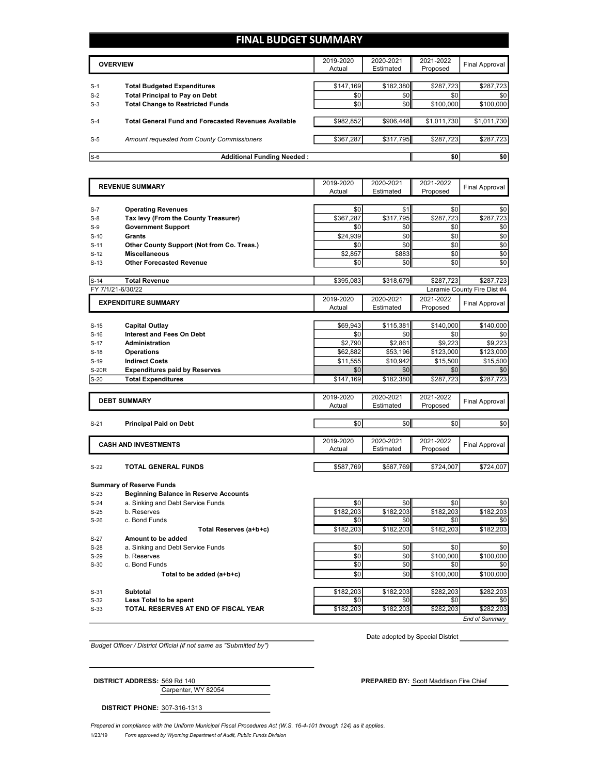### **FINAL BUDGET SUMMARY**

|                | <b>OVERVIEW</b>                                                             | 2019-2020<br>Actual | 2020-2021<br>Estimated | 2021-2022<br>Proposed | Final Approval   |
|----------------|-----------------------------------------------------------------------------|---------------------|------------------------|-----------------------|------------------|
|                |                                                                             |                     |                        |                       |                  |
| $S-1$<br>$S-2$ | <b>Total Budgeted Expenditures</b><br><b>Total Principal to Pay on Debt</b> | \$147,169<br>\$0    | \$182,380<br>\$0       | \$287,723<br>\$0      | \$287,723<br>\$0 |
| $S-3$          | <b>Total Change to Restricted Funds</b>                                     | \$0                 | \$0                    | \$100,000             | \$100,000        |
|                |                                                                             |                     |                        |                       |                  |
| $S-4$          | <b>Total General Fund and Forecasted Revenues Available</b>                 | \$982,852           | \$906.448              | \$1,011,730           | \$1,011,730      |
| $S-5$          | Amount requested from County Commissioners                                  | \$367.287           | \$317,795              | \$287.723             | \$287,723        |
|                |                                                                             |                     |                        |                       |                  |
| $S-6$          | <b>Additional Funding Needed:</b>                                           |                     |                        | \$0                   | \$0              |

|                   | <b>REVENUE SUMMARY</b>                                         | 2019-2020        | 2020-2021        | 2021-2022        | <b>Final Approval</b>       |
|-------------------|----------------------------------------------------------------|------------------|------------------|------------------|-----------------------------|
|                   |                                                                | Actual           | Estimated        | Proposed         |                             |
|                   |                                                                |                  |                  |                  |                             |
| $S-7$             | <b>Operating Revenues</b>                                      | \$0              | \$1              | \$0              | \$0                         |
| $S-8$             | Tax levy (From the County Treasurer)                           | \$367.287        | \$317.795        | \$287,723        | \$287,723                   |
| $S-9$             | <b>Government Support</b>                                      | \$0              | \$0              | \$0              | \$0                         |
| $S-10$            | <b>Grants</b>                                                  | \$24.939         | \$0              | \$0              | \$0                         |
| $S-11$            | Other County Support (Not from Co. Treas.)                     | \$0              | \$0              | \$0<br>\$0       | \$0                         |
| $S-12$            | <b>Miscellaneous</b>                                           | \$2,857<br>\$0   | \$883<br>\$0     | \$0              | \$0<br>\$0                  |
| $S-13$            | <b>Other Forecasted Revenue</b>                                |                  |                  |                  |                             |
| $S-14$            | <b>Total Revenue</b>                                           | \$395,083        | \$318,679        | \$287,723        | \$287,723                   |
| FY 7/1/21-6/30/22 |                                                                |                  |                  |                  | Laramie County Fire Dist #4 |
|                   | <b>EXPENDITURE SUMMARY</b>                                     | 2019-2020        | 2020-2021        | 2021-2022        | Final Approval              |
|                   |                                                                | Actual           | Estimated        | Proposed         |                             |
|                   |                                                                |                  |                  |                  |                             |
| $S-15$            | <b>Capital Outlay</b>                                          | \$69.943         | \$115,381        | \$140.000        | \$140,000                   |
| $S-16$            | <b>Interest and Fees On Debt</b>                               | \$0              | \$0              | \$0              | \$0                         |
| $S-17$            | <b>Administration</b>                                          | \$2,790          | \$2,861          | \$9,223          | \$9,223                     |
| $S-18$            | <b>Operations</b>                                              | \$62,882         | \$53,196         | \$123,000        | \$123,000                   |
| $S-19$            | <b>Indirect Costs</b>                                          | \$11,555         | \$10,942         | \$15,500         | \$15,500                    |
| <b>S-20R</b>      | <b>Expenditures paid by Reserves</b>                           | \$0              | \$0              | \$0              | \$0                         |
| $S-20$            | <b>Total Expenditures</b>                                      | \$147,169        | \$182,380        | \$287,723        | \$287,723                   |
|                   |                                                                | 2019-2020        | 2020-2021        | 2021-2022        |                             |
|                   | <b>DEBT SUMMARY</b>                                            |                  |                  |                  | <b>Final Approval</b>       |
|                   |                                                                |                  |                  |                  |                             |
|                   |                                                                | Actual           | Estimated        | Proposed         |                             |
| $S-21$            | <b>Principal Paid on Debt</b>                                  | \$0              | \$0              | \$0              | \$0                         |
|                   |                                                                |                  |                  |                  |                             |
|                   |                                                                | 2019-2020        | 2020-2021        | 2021-2022        |                             |
|                   | <b>CASH AND INVESTMENTS</b>                                    | Actual           | Estimated        | Proposed         | <b>Final Approval</b>       |
|                   |                                                                |                  |                  |                  |                             |
| $S-22$            | TOTAL GENERAL FUNDS                                            | \$587,769        | \$587,769        | \$724,007        | \$724,007                   |
|                   |                                                                |                  |                  |                  |                             |
|                   | <b>Summary of Reserve Funds</b>                                |                  |                  |                  |                             |
| $S-23$            | <b>Beginning Balance in Reserve Accounts</b>                   |                  |                  |                  |                             |
| $S-24$            | a. Sinking and Debt Service Funds<br>b. Reserves               | \$0              | \$0              | \$0              | \$0                         |
| $S-25$<br>$S-26$  | c. Bond Funds                                                  | \$182,203<br>\$0 | \$182,203<br>\$0 | \$182,203<br>\$0 | \$182.203<br>\$0            |
|                   |                                                                | \$182,203        | \$182,203        |                  | \$182,203                   |
| $S-27$            | Total Reserves (a+b+c)<br>Amount to be added                   |                  |                  | \$182,203        |                             |
| $S-28$            | a. Sinking and Debt Service Funds                              | \$0              | \$0              | \$0              | \$0                         |
| $S-29$            | b. Reserves                                                    | \$0              | \$0              | \$100,000        | \$100,000                   |
| $S-30$            | c. Bond Funds                                                  | \$0              | \$0              | \$0              | \$0                         |
|                   | Total to be added (a+b+c)                                      | \$0              | \$0              | \$100,000        | \$100,000                   |
|                   |                                                                |                  |                  |                  |                             |
| $S-31$            | <b>Subtotal</b>                                                | \$182,203        | \$182,203        | \$282,203        | \$282,203                   |
| $S-32$<br>$S-33$  | Less Total to be spent<br>TOTAL RESERVES AT END OF FISCAL YEAR | \$0<br>\$182,203 | \$0<br>\$182,203 | \$0<br>\$282,203 | \$0<br>\$282,203            |

*Budget Officer / District Official (if not same as "Submitted by")*

Date adopted by Special District

Carpenter, WY 82054 **DISTRICT ADDRESS:** 569 Rd 140 **PREPARED BY:** Scott Maddison Fire Chief

*End of Summary*

**DISTRICT PHONE:** 307-316-1313

1/23/19 *Form approved by Wyoming Department of Audit, Public Funds Division Prepared in compliance with the Uniform Municipal Fiscal Procedures Act (W.S. 16-4-101 through 124) as it applies.*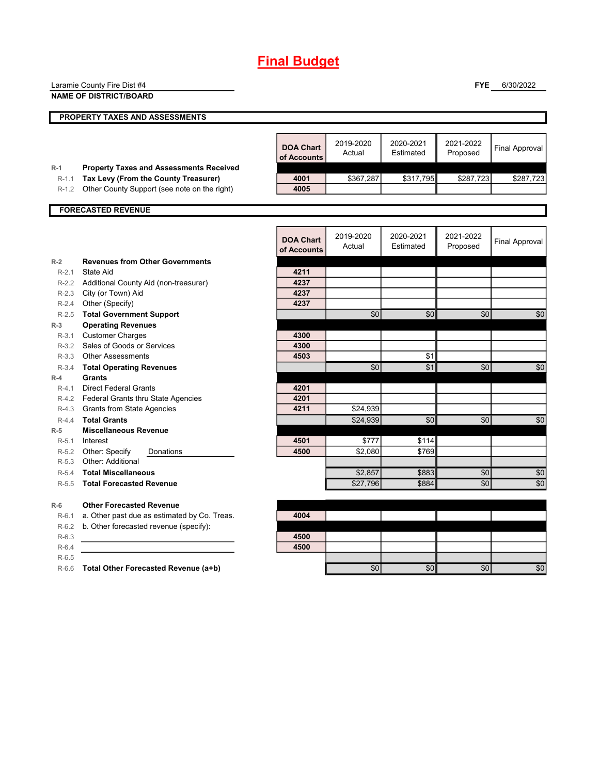|                  | Laramie County Fire Dist #4                         |                  |           |           | <b>FYE</b> | 6/30/2022             |
|------------------|-----------------------------------------------------|------------------|-----------|-----------|------------|-----------------------|
|                  | <b>NAME OF DISTRICT/BOARD</b>                       |                  |           |           |            |                       |
|                  |                                                     |                  |           |           |            |                       |
|                  | PROPERTY TAXES AND ASSESSMENTS                      |                  |           |           |            |                       |
|                  |                                                     |                  |           |           |            |                       |
|                  |                                                     | <b>DOA Chart</b> | 2019-2020 | 2020-2021 | 2021-2022  | <b>Final Approval</b> |
|                  |                                                     | of Accounts      | Actual    | Estimated | Proposed   |                       |
| $R-1$            | <b>Property Taxes and Assessments Received</b>      |                  |           |           |            |                       |
| $R-1.1$          | Tax Levy (From the County Treasurer)                | 4001             | \$367,287 | \$317,795 | \$287,723  | \$287,723             |
| $R-1.2$          | Other County Support (see note on the right)        | 4005             |           |           |            |                       |
|                  |                                                     |                  |           |           |            |                       |
|                  | <b>FORECASTED REVENUE</b>                           |                  |           |           |            |                       |
|                  |                                                     |                  |           |           |            |                       |
|                  |                                                     | <b>DOA Chart</b> | 2019-2020 | 2020-2021 | 2021-2022  |                       |
|                  |                                                     | of Accounts      | Actual    | Estimated | Proposed   | <b>Final Approval</b> |
| $R-2$            | <b>Revenues from Other Governments</b>              |                  |           |           |            |                       |
| $R-2.1$          | State Aid                                           | 4211             |           |           |            |                       |
| $R-2.2$          | Additional County Aid (non-treasurer)               | 4237             |           |           |            |                       |
| $R-2.3$          | City (or Town) Aid                                  | 4237             |           |           |            |                       |
| $R-2.4$          | Other (Specify)                                     | 4237             |           |           |            |                       |
| $R-2.5$          | <b>Total Government Support</b>                     |                  | \$0       | \$0       | \$0        | \$0                   |
| $R-3$            | <b>Operating Revenues</b>                           |                  |           |           |            |                       |
| $R-3.1$          | <b>Customer Charges</b>                             | 4300             |           |           |            |                       |
|                  | R-3.2 Sales of Goods or Services                    | 4300             |           |           |            |                       |
| $R - 3.3$        | <b>Other Assessments</b>                            | 4503             |           | \$1       |            |                       |
| $R-3.4$          | <b>Total Operating Revenues</b>                     |                  | \$0       | \$1       | \$0        | \$0                   |
| $R-4$            | Grants                                              |                  |           |           |            |                       |
| $R-4.1$          | <b>Direct Federal Grants</b>                        | 4201             |           |           |            |                       |
| R-4.2            | Federal Grants thru State Agencies                  | 4201<br>4211     |           |           |            |                       |
| R-4.3            | Grants from State Agencies                          |                  | \$24,939  |           |            |                       |
| $R-4.4$<br>$R-5$ | <b>Total Grants</b><br><b>Miscellaneous Revenue</b> |                  | \$24,939  | \$0       | \$0        | \$0                   |
| $R-5.1$          | Interest                                            | 4501             | \$777     | \$114     |            |                       |
| $R-5.2$          | Other: Specify<br>Donations                         | 4500             | \$2,080   | \$769     |            |                       |
| $R-5.3$          | Other: Additional                                   |                  |           |           |            |                       |
| $R-5.4$          | <b>Total Miscellaneous</b>                          |                  | \$2,857   | \$883     | \$0        | \$0                   |
| $R-5.5$          | <b>Total Forecasted Revenue</b>                     |                  | \$27,796  | \$884     | \$0        | \$0                   |
|                  |                                                     |                  |           |           |            |                       |
| $R-6$            | <b>Other Forecasted Revenue</b>                     |                  |           |           |            |                       |
| $R-6.1$          | a. Other past due as estimated by Co. Treas.        | 4004             |           |           |            |                       |
| $R-6.2$          | b. Other forecasted revenue (specify):              |                  |           |           |            |                       |
| $R-6.3$          |                                                     | 4500             |           |           |            |                       |
| $R-6.4$          |                                                     | 4500             |           |           |            |                       |
| $R-6.5$          |                                                     |                  |           |           |            |                       |
|                  | R-6.6 Total Other Forecasted Revenue (a+b)          |                  | \$0       | \$0       | \$0        | \$0                   |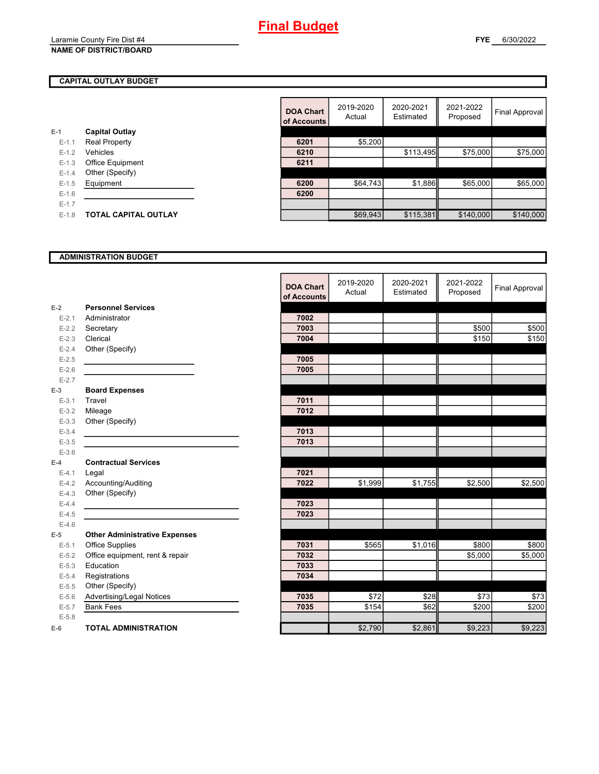#### **NAME OF DISTRICT/BOARD**

#### **CAPITAL OUTLAY BUDGET**

|           |                             | ----------- |          |
|-----------|-----------------------------|-------------|----------|
| $E-1$     | <b>Capital Outlay</b>       |             |          |
| $E-1.1$   | <b>Real Property</b>        | 6201        | \$5,200  |
| $E-1.2$   | Vehicles                    | 6210        |          |
| $E-1.3$   | <b>Office Equipment</b>     | 6211        |          |
| $E - 1.4$ | Other (Specify)             |             |          |
| $E - 1.5$ | Equipment                   | 6200        | \$64.743 |
| $E - 1.6$ |                             | 6200        |          |
| $E-1.7$   |                             |             |          |
| $E - 1.8$ | <b>TOTAL CAPITAL OUTLAY</b> |             | \$69.943 |
|           |                             |             |          |

|         |                             | <b>DOA Chart</b><br>of Accounts | 2019-2020<br>Actual | 2020-2021<br>Estimated | 2021-2022<br>Proposed | Final Approval |
|---------|-----------------------------|---------------------------------|---------------------|------------------------|-----------------------|----------------|
|         | <b>Capital Outlay</b>       |                                 |                     |                        |                       |                |
| $E-1.1$ | Real Property               | 6201                            | \$5,200             |                        |                       |                |
| $E-1.2$ | Vehicles                    | 6210                            |                     | \$113,495              | \$75,000              | \$75,000       |
| $E-1.3$ | Office Equipment            | 6211                            |                     |                        |                       |                |
| $E-1.4$ | Other (Specify)             |                                 |                     |                        |                       |                |
| $E-1.5$ | Equipment                   | 6200                            | \$64,743            | \$1,886                | \$65,000              | \$65,000       |
| $E-1.6$ |                             | 6200                            |                     |                        |                       |                |
| $E-1.7$ |                             |                                 |                     |                        |                       |                |
| $E-1.8$ | <b>TOTAL CAPITAL OUTLAY</b> |                                 | \$69,943            | \$115,381              | \$140,000             | \$140,000      |
|         |                             |                                 |                     |                        |                       |                |

#### **ADMINISTRATION BUDGET**

|           |                                      | <b>DOA Chart</b><br>of Accounts | 2019-2020<br>Actual | 2020-2021<br>Estimated | 2021-2022<br>Proposed | <b>Final Approval</b> |
|-----------|--------------------------------------|---------------------------------|---------------------|------------------------|-----------------------|-----------------------|
| $E-2$     | <b>Personnel Services</b>            |                                 |                     |                        |                       |                       |
| $E - 2.1$ | Administrator                        | 7002                            |                     |                        |                       |                       |
| $E-2.2$   | Secretary                            | 7003                            |                     |                        | \$500                 | \$500                 |
| $E-2.3$   | Clerical                             | 7004                            |                     |                        | \$150                 | \$150                 |
| $E - 2.4$ | Other (Specify)                      |                                 |                     |                        |                       |                       |
| $E - 2.5$ |                                      | 7005                            |                     |                        |                       |                       |
| $E-2.6$   |                                      | 7005                            |                     |                        |                       |                       |
| $E - 2.7$ |                                      |                                 |                     |                        |                       |                       |
| $E-3$     | <b>Board Expenses</b>                |                                 |                     |                        |                       |                       |
| $E - 3.1$ | Travel                               | 7011                            |                     |                        |                       |                       |
| $E - 3.2$ | Mileage                              | 7012                            |                     |                        |                       |                       |
| $E - 3.3$ | Other (Specify)                      |                                 |                     |                        |                       |                       |
| $E - 3.4$ |                                      | 7013                            |                     |                        |                       |                       |
| $E - 3.5$ |                                      | 7013                            |                     |                        |                       |                       |
| $E - 3.6$ |                                      |                                 |                     |                        |                       |                       |
| $E-4$     | <b>Contractual Services</b>          |                                 |                     |                        |                       |                       |
| $E - 4.1$ | Legal                                | 7021                            |                     |                        |                       |                       |
| $E-4.2$   | Accounting/Auditing                  | 7022                            | \$1,999             | \$1,755                | \$2,500               | \$2,500               |
| $E-4.3$   | Other (Specify)                      |                                 |                     |                        |                       |                       |
| $E-4.4$   |                                      | 7023                            |                     |                        |                       |                       |
| $E-4.5$   |                                      | 7023                            |                     |                        |                       |                       |
| $E-4.6$   |                                      |                                 |                     |                        |                       |                       |
| $E-5$     | <b>Other Administrative Expenses</b> |                                 |                     |                        |                       |                       |
| $E - 5.1$ | Office Supplies                      | 7031                            | \$565               | \$1,016                | \$800                 | \$800                 |
| $E-5.2$   | Office equipment, rent & repair      | 7032                            |                     |                        | \$5,000               | \$5,000               |
| $E - 5.3$ | Education                            | 7033                            |                     |                        |                       |                       |
| $E - 5.4$ | Registrations                        | 7034                            |                     |                        |                       |                       |
| $E-5.5$   | Other (Specify)                      |                                 |                     |                        |                       |                       |
| $E-5.6$   | Advertising/Legal Notices            | 7035                            | \$72                | \$28                   | \$73                  | \$73                  |
| $E - 5.7$ | <b>Bank Fees</b>                     | 7035                            | \$154               | \$62                   | \$200                 | \$200                 |
| $E - 5.8$ |                                      |                                 |                     |                        |                       |                       |
| $E-6$     | <b>TOTAL ADMINISTRATION</b>          |                                 | \$2,790             | \$2,861                | \$9,223               | \$9,223               |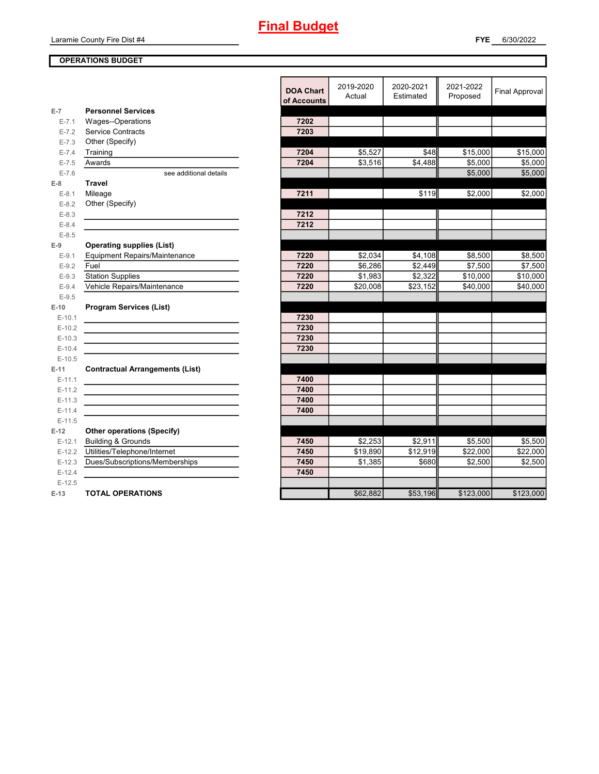Laramie County Fire Dist #4

#### **OPERATIONS BUDGET**

|           |                                        | <b>DOA Chart</b><br>of Accounts | 2019-2020<br>Actual | 2020-2021<br>Estimated | 2021-2022<br>Proposed | Final Approval       |
|-----------|----------------------------------------|---------------------------------|---------------------|------------------------|-----------------------|----------------------|
| $E-7$     | <b>Personnel Services</b>              |                                 |                     |                        |                       |                      |
| $E - 7.1$ | Wages--Operations                      | 7202                            |                     |                        |                       |                      |
| $E - 7.2$ | Service Contracts                      | 7203                            |                     |                        |                       |                      |
| $E - 7.3$ | Other (Specify)                        |                                 |                     |                        |                       |                      |
| $E - 7.4$ | Training                               | 7204                            | \$5,527             | \$48                   | \$15,000              | $\overline{$}15,000$ |
| $E - 7.5$ | Awards                                 | 7204                            | \$3,516             | \$4,488                | \$5,000               | \$5,000              |
| $E - 7.6$ | see additional details                 |                                 |                     |                        | \$5,000               | \$5,000              |
| $E-8$     | <b>Travel</b>                          |                                 |                     |                        |                       |                      |
| $E-8.1$   | Mileage                                | 7211                            |                     | \$119                  | \$2.000               | \$2.000              |
| $E-8.2$   | Other (Specify)                        |                                 |                     |                        |                       |                      |
| $E-8.3$   |                                        | 7212                            |                     |                        |                       |                      |
| $E-8.4$   |                                        | 7212                            |                     |                        |                       |                      |
| $E - 8.5$ |                                        |                                 |                     |                        |                       |                      |
| $E-9$     | <b>Operating supplies (List)</b>       |                                 |                     |                        |                       |                      |
| $E-9.1$   | Equipment Repairs/Maintenance          | 7220                            | \$2,034             | \$4,108                | \$8,500               | \$8,500              |
| $E-9.2$   | Fuel                                   | 7220                            | \$6,286             | \$2,449                | \$7,500               | \$7,500              |
| $E-9.3$   | <b>Station Supplies</b>                | 7220                            | \$1,983             | \$2,322                | \$10,000              | \$10,000             |
| $E-9.4$   | Vehicle Repairs/Maintenance            | 7220                            | \$20,008            | \$23,152               | \$40,000              | \$40,000             |
| $E-9.5$   |                                        |                                 |                     |                        |                       |                      |
| E-10      | <b>Program Services (List)</b>         |                                 |                     |                        |                       |                      |
| $E-10.1$  |                                        | 7230                            |                     |                        |                       |                      |
| $E-10.2$  |                                        | 7230                            |                     |                        |                       |                      |
| $E-10.3$  |                                        | 7230                            |                     |                        |                       |                      |
| $E-10.4$  |                                        | 7230                            |                     |                        |                       |                      |
| $E-10.5$  |                                        |                                 |                     |                        |                       |                      |
| E-11      | <b>Contractual Arrangements (List)</b> |                                 |                     |                        |                       |                      |
| $E-11.1$  |                                        | 7400                            |                     |                        |                       |                      |
| $E-11.2$  |                                        | 7400                            |                     |                        |                       |                      |
| $E-11.3$  |                                        | 7400                            |                     |                        |                       |                      |
| $E-11.4$  |                                        | 7400                            |                     |                        |                       |                      |
| $E-11.5$  |                                        |                                 |                     |                        |                       |                      |
| $E-12$    | <b>Other operations (Specify)</b>      |                                 |                     |                        |                       |                      |
| $E-12.1$  | <b>Building &amp; Grounds</b>          | 7450                            | \$2,253             | \$2,911                | \$5,500               | \$5,500              |
| $E-12.2$  | Utilities/Telephone/Internet           | 7450                            | \$19,890            | \$12,919               | \$22,000              | \$22,000             |
| $E-12.3$  | Dues/Subscriptions/Memberships         | 7450                            | \$1,385             | \$680                  | \$2,500               | \$2,500              |
| $E-12.4$  |                                        | 7450                            |                     |                        |                       |                      |
| $E-12.5$  |                                        |                                 |                     |                        |                       |                      |
| $E-13$    | <b>TOTAL OPERATIONS</b>                |                                 | \$62,882            | \$53,196               | \$123,000             | \$123,000            |
|           |                                        |                                 |                     |                        |                       |                      |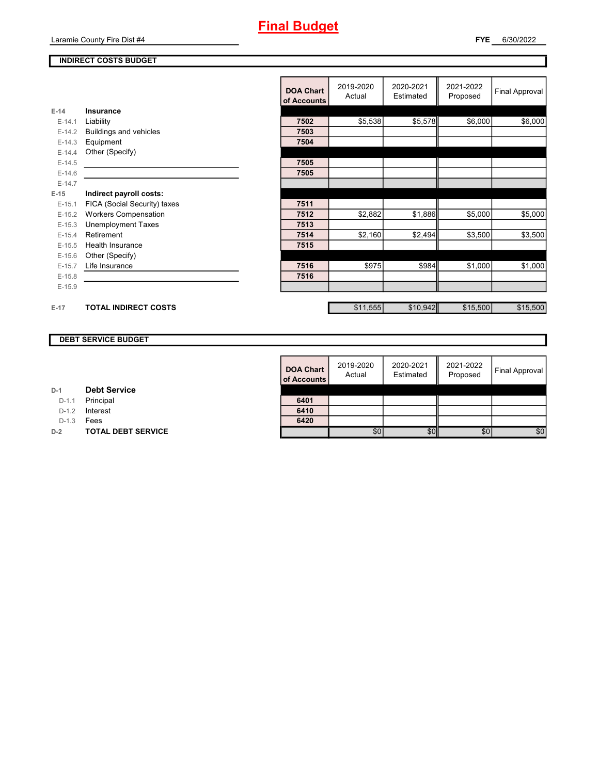#### **INDIRECT COSTS BUDGET**

|          |                              | <b>DOA Chart</b><br>of Accounts | 2019-2020<br>Actual | 2020-2021<br>Estimated | 2021-2022<br>Proposed | <b>Final Approval</b> |
|----------|------------------------------|---------------------------------|---------------------|------------------------|-----------------------|-----------------------|
| $E-14$   | Insurance                    |                                 |                     |                        |                       |                       |
| $E-14.1$ | Liability                    | 7502                            | \$5,538             | \$5,578                | \$6,000               | \$6,000               |
| $E-14.2$ | Buildings and vehicles       | 7503                            |                     |                        |                       |                       |
| $E-14.3$ | Equipment                    | 7504                            |                     |                        |                       |                       |
| $E-14.4$ | Other (Specify)              |                                 |                     |                        |                       |                       |
| $E-14.5$ |                              | 7505                            |                     |                        |                       |                       |
| $E-14.6$ |                              | 7505                            |                     |                        |                       |                       |
| $E-14.7$ |                              |                                 |                     |                        |                       |                       |
| $E-15$   | Indirect payroll costs:      |                                 |                     |                        |                       |                       |
| $E-15.1$ | FICA (Social Security) taxes | 7511                            |                     |                        |                       |                       |
| $E-15.2$ | <b>Workers Compensation</b>  | 7512                            | \$2,882             | \$1,886                | \$5,000               | \$5,000               |
| $E-15.3$ | <b>Unemployment Taxes</b>    | 7513                            |                     |                        |                       |                       |
| $E-15.4$ | Retirement                   | 7514                            | \$2,160             | \$2,494                | \$3,500               | \$3,500               |
| $E-15.5$ | <b>Health Insurance</b>      | 7515                            |                     |                        |                       |                       |
| $E-15.6$ | Other (Specify)              |                                 |                     |                        |                       |                       |
| $E-15.7$ | Life Insurance               | 7516                            | \$975               | \$984                  | \$1,000               | \$1,000               |
| $E-15.8$ |                              | 7516                            |                     |                        |                       |                       |
| $E-15.9$ |                              |                                 |                     |                        |                       |                       |
|          |                              |                                 |                     |                        |                       |                       |
| $E-17$   | <b>TOTAL INDIRECT COSTS</b>  |                                 | \$11,555            | \$10,942               | \$15,500              | \$15,500              |

### **DEBT SERVICE BUDGET**

| <b>DOA Chart</b><br>of Accounts | 2019-2020<br>Actual | 2020-2021<br>Estimated | 2021-2022<br>Proposed | Final Approval |
|---------------------------------|---------------------|------------------------|-----------------------|----------------|
|                                 |                     |                        |                       |                |
| 6401                            |                     |                        |                       |                |
| 6410                            |                     |                        |                       |                |
| 6420                            |                     |                        |                       |                |
|                                 | \$0                 |                        | \$C                   | \$0            |

D-1.1 **Principal** 

D-1.2 **Interest** 

D-1.3 **Fees** 

**D-2 TOTAL DEBT SERVICE**